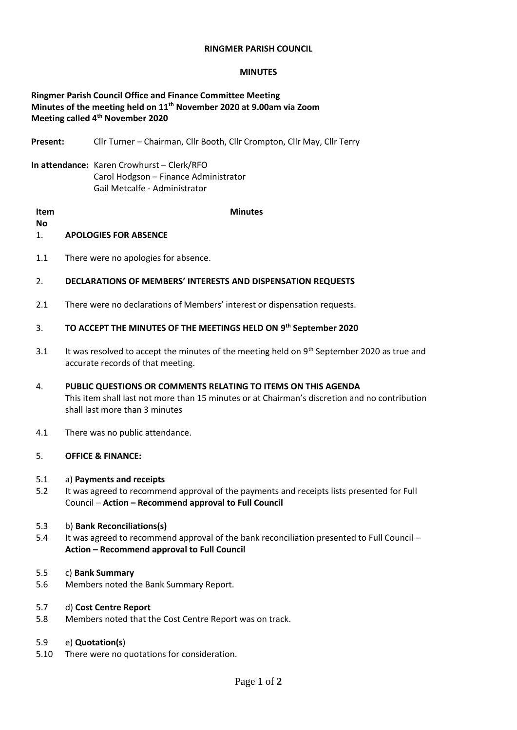#### **RINGMER PARISH COUNCIL**

#### **MINUTES**

# **Ringmer Parish Council Office and Finance Committee Meeting Minutes of the meeting held on 11th November 2020 at 9.00am via Zoom Meeting called 4 th November 2020**

**Present:** Cllr Turner – Chairman, Cllr Booth, Cllr Crompton, Cllr May, Cllr Terry

**In attendance:** Karen Crowhurst – Clerk/RFO Carol Hodgson – Finance Administrator Gail Metcalfe - Administrator

**Item No Minutes**

## 1. **APOLOGIES FOR ABSENCE**

1.1 There were no apologies for absence.

## 2. **DECLARATIONS OF MEMBERS' INTERESTS AND DISPENSATION REQUESTS**

2.1 There were no declarations of Members' interest or dispensation requests.

# 3. **TO ACCEPT THE MINUTES OF THE MEETINGS HELD ON 9 th September 2020**

- 3.1 It was resolved to accept the minutes of the meeting held on  $9<sup>th</sup>$  September 2020 as true and accurate records of that meeting.
- 4. **PUBLIC QUESTIONS OR COMMENTS RELATING TO ITEMS ON THIS AGENDA** This item shall last not more than 15 minutes or at Chairman's discretion and no contribution shall last more than 3 minutes
- 4.1 There was no public attendance.

## 5. **OFFICE & FINANCE:**

### 5.1 a) **Payments and receipts**

- 5.2 It was agreed to recommend approval of the payments and receipts lists presented for Full Council – **Action – Recommend approval to Full Council**
- 5.3 b) **Bank Reconciliations(s)**
- 5.4 It was agreed to recommend approval of the bank reconciliation presented to Full Council **Action – Recommend approval to Full Council**

### 5.5 c) **Bank Summary**

5.6 Members noted the Bank Summary Report.

### 5.7 d) **Cost Centre Report**

5.8 Members noted that the Cost Centre Report was on track.

### 5.9 e) **Quotation(s**)

5.10 There were no quotations for consideration.